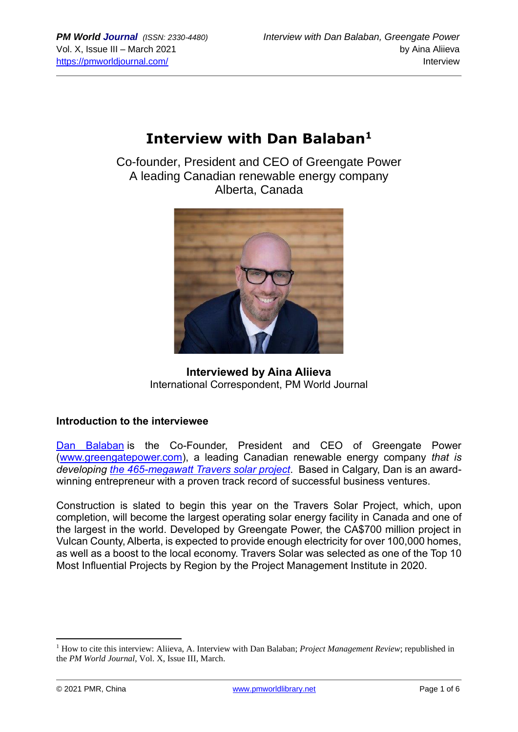# **Interview with Dan Balaban<sup>1</sup>**

Co-founder, President and CEO of Greengate Power A leading Canadian renewable energy company Alberta, Canada



# **Interviewed by Aina Aliieva** International Correspondent, PM World Journal

### **Introduction to the interviewee**

[Dan Balaban](https://www.linkedin.com/in/ACoAAA15_c0BEaUpK_3nww5mXZ1Hy4oYRShy_nk) is the Co-Founder, President and CEO of Greengate Power [\(www.greengatepower.com\)](http://www.greengatepower.com/), a leading Canadian renewable energy company *that is developing [the 465-megawatt Travers solar project](https://www.greenenergyfutures.ca/episode/travers-largest-solar-project-in-canada)*. Based in Calgary, Dan is an awardwinning entrepreneur with a proven track record of successful business ventures.

Construction is slated to begin this year on the Travers Solar Project, which, upon completion, will become the largest operating solar energy facility in Canada and one of the largest in the world. Developed by Greengate Power, the CA\$700 million project in Vulcan County, Alberta, is expected to provide enough electricity for over 100,000 homes, as well as a boost to the local economy. Travers Solar was selected as one of the Top 10 Most Influential Projects by Region by the Project Management Institute in 2020.

<sup>1</sup> How to cite this interview: Aliieva, A. Interview with Dan Balaban; *Project Management Review*; republished in the *PM World Journal*, Vol. X, Issue III, March.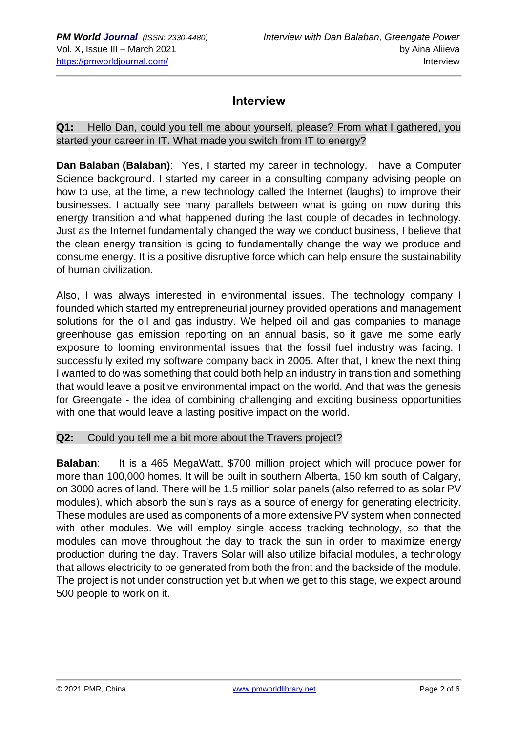# **Interview**

**Q1:** Hello Dan, could you tell me about yourself, please? From what I gathered, you started your career in IT. What made you switch from IT to energy?

**Dan Balaban (Balaban)**: Yes, I started my career in technology. I have a Computer Science background. I started my career in a consulting company advising people on how to use, at the time, a new technology called the Internet (laughs) to improve their businesses. I actually see many parallels between what is going on now during this energy transition and what happened during the last couple of decades in technology. Just as the Internet fundamentally changed the way we conduct business, I believe that the clean energy transition is going to fundamentally change the way we produce and consume energy. It is a positive disruptive force which can help ensure the sustainability of human civilization.

Also, I was always interested in environmental issues. The technology company I founded which started my entrepreneurial journey provided operations and management solutions for the oil and gas industry. We helped oil and gas companies to manage greenhouse gas emission reporting on an annual basis, so it gave me some early exposure to looming environmental issues that the fossil fuel industry was facing. I successfully exited my software company back in 2005. After that, I knew the next thing I wanted to do was something that could both help an industry in transition and something that would leave a positive environmental impact on the world. And that was the genesis for Greengate - the idea of combining challenging and exciting business opportunities with one that would leave a lasting positive impact on the world.

#### **Q2:** Could you tell me a bit more about the Travers project?

**Balaban**: It is a 465 MegaWatt, \$700 million project which will produce power for more than 100,000 homes. It will be built in southern Alberta, 150 km south of Calgary, on 3000 acres of land. There will be 1.5 million solar panels (also referred to as solar PV modules), which absorb the sun's rays as a source of energy for generating electricity. These modules are used as components of a more extensive PV system when connected with other modules. We will employ single access tracking technology, so that the modules can move throughout the day to track the sun in order to maximize energy production during the day. Travers Solar will also utilize bifacial modules, a technology that allows electricity to be generated from both the front and the backside of the module. The project is not under construction yet but when we get to this stage, we expect around 500 people to work on it.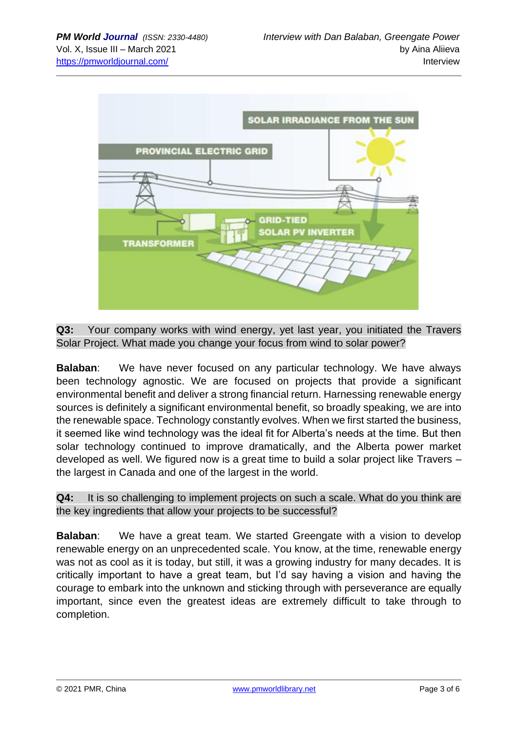

**Q3:** Your company works with wind energy, yet last year, you initiated the Travers Solar Project. What made you change your focus from wind to solar power?

**Balaban**: We have never focused on any particular technology. We have always been technology agnostic. We are focused on projects that provide a significant environmental benefit and deliver a strong financial return. Harnessing renewable energy sources is definitely a significant environmental benefit, so broadly speaking, we are into the renewable space. Technology constantly evolves. When we first started the business, it seemed like wind technology was the ideal fit for Alberta's needs at the time. But then solar technology continued to improve dramatically, and the Alberta power market developed as well. We figured now is a great time to build a solar project like Travers – the largest in Canada and one of the largest in the world.

**Q4:** It is so challenging to implement projects on such a scale. What do you think are the key ingredients that allow your projects to be successful?

**Balaban:** We have a great team. We started Greengate with a vision to develop renewable energy on an unprecedented scale. You know, at the time, renewable energy was not as cool as it is today, but still, it was a growing industry for many decades. It is critically important to have a great team, but I'd say having a vision and having the courage to embark into the unknown and sticking through with perseverance are equally important, since even the greatest ideas are extremely difficult to take through to completion.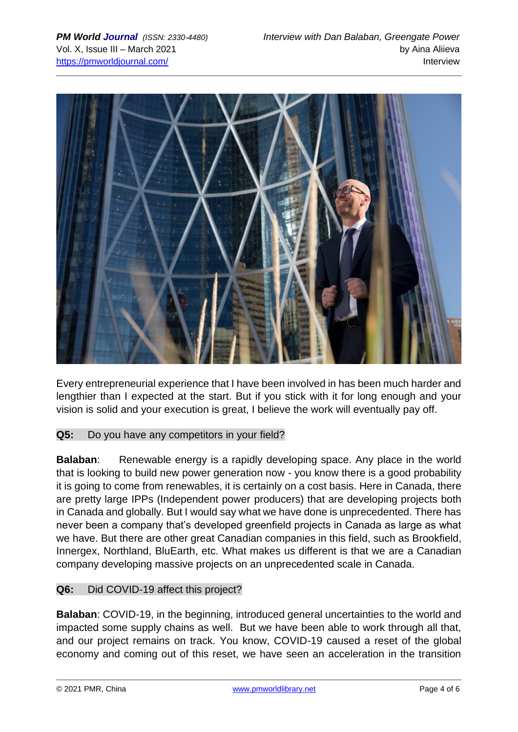

Every entrepreneurial experience that I have been involved in has been much harder and lengthier than I expected at the start. But if you stick with it for long enough and your vision is solid and your execution is great, I believe the work will eventually pay off.

#### **Q5:** Do you have any competitors in your field?

**Balaban:** Renewable energy is a rapidly developing space. Any place in the world that is looking to build new power generation now - you know there is a good probability it is going to come from renewables, it is certainly on a cost basis. Here in Canada, there are pretty large IPPs (Independent power producers) that are developing projects both in Canada and globally. But I would say what we have done is unprecedented. There has never been a company that's developed greenfield projects in Canada as large as what we have. But there are other great Canadian companies in this field, such as Brookfield, Innergex, Northland, BluEarth, etc. What makes us different is that we are a Canadian company developing massive projects on an unprecedented scale in Canada.

#### **Q6:** Did COVID-19 affect this project?

**Balaban**: COVID-19, in the beginning, introduced general uncertainties to the world and impacted some supply chains as well. But we have been able to work through all that, and our project remains on track. You know, COVID-19 caused a reset of the global economy and coming out of this reset, we have seen an acceleration in the transition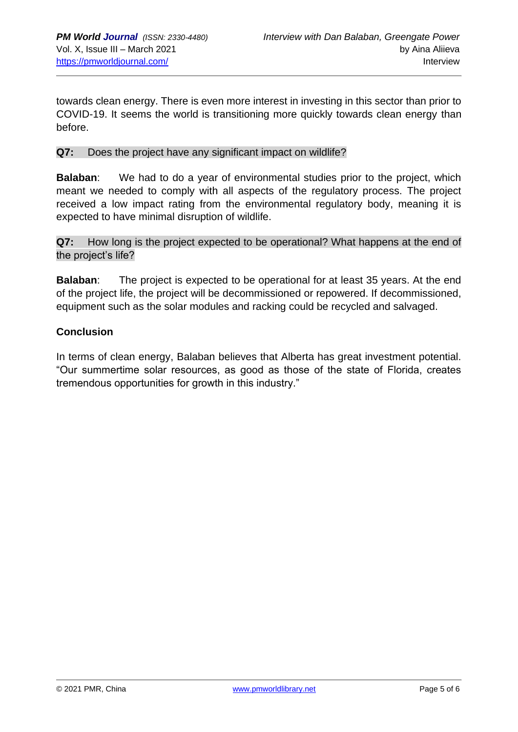towards clean energy. There is even more interest in investing in this sector than prior to COVID-19. It seems the world is transitioning more quickly towards clean energy than before.

#### **Q7:** Does the project have any significant impact on wildlife?

**Balaban**: We had to do a year of environmental studies prior to the project, which meant we needed to comply with all aspects of the regulatory process. The project received a low impact rating from the environmental regulatory body, meaning it is expected to have minimal disruption of wildlife.

**Q7:** How long is the project expected to be operational? What happens at the end of the project's life?

**Balaban**: The project is expected to be operational for at least 35 years. At the end of the project life, the project will be decommissioned or repowered. If decommissioned, equipment such as the solar modules and racking could be recycled and salvaged.

#### **Conclusion**

In terms of clean energy, Balaban believes that Alberta has great investment potential. "Our summertime solar resources, as good as those of the state of Florida, creates tremendous opportunities for growth in this industry."